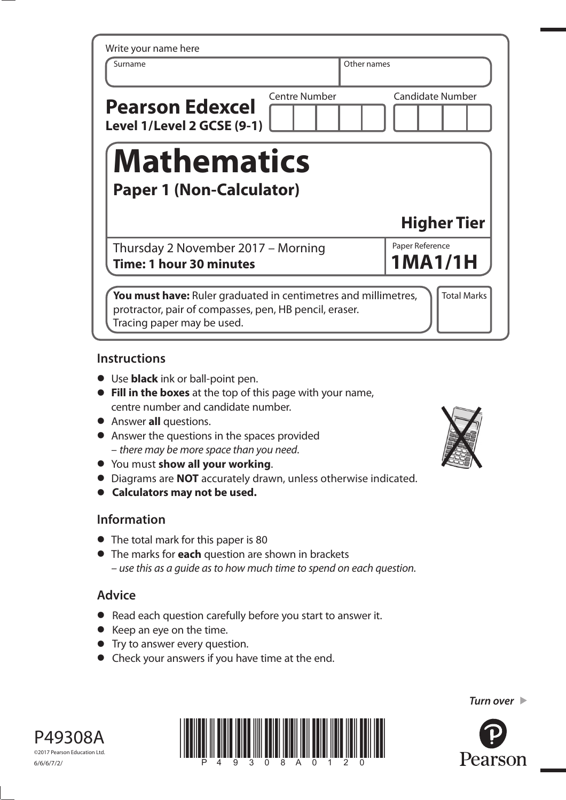| Surname                                                       |                      | Other names                |
|---------------------------------------------------------------|----------------------|----------------------------|
| <b>Pearson Edexcel</b><br>Level 1/Level 2 GCSE (9-1)          | <b>Centre Number</b> | <b>Candidate Number</b>    |
| <b>Mathematics</b><br><b>Paper 1 (Non-Calculator)</b>         |                      |                            |
|                                                               |                      |                            |
|                                                               |                      | <b>Higher Tier</b>         |
| Thursday 2 November 2017 - Morning<br>Time: 1 hour 30 minutes |                      | Paper Reference<br>1MA1/1H |

## **Instructions**

- **•** Use **black** ink or ball-point pen.
- **• Fill in the boxes** at the top of this page with your name, centre number and candidate number.
- **•** Answer **all** questions.
- **•** Answer the questions in the spaces provided – there may be more space than you need.
- **•** You must **show all your working**.
- **•** Diagrams are **NOT** accurately drawn, unless otherwise indicated.
- **• Calculators may not be used.**

### **Information**

- **•** The total mark for this paper is 80
- **•** The marks for **each** question are shown in brackets – use this as a guide as to how much time to spend on each question.

# **Advice**

- **•** Read each question carefully before you start to answer it.
- **•** Keep an eye on the time.
- **•** Try to answer every question.
- **•** Check your answers if you have time at the end.









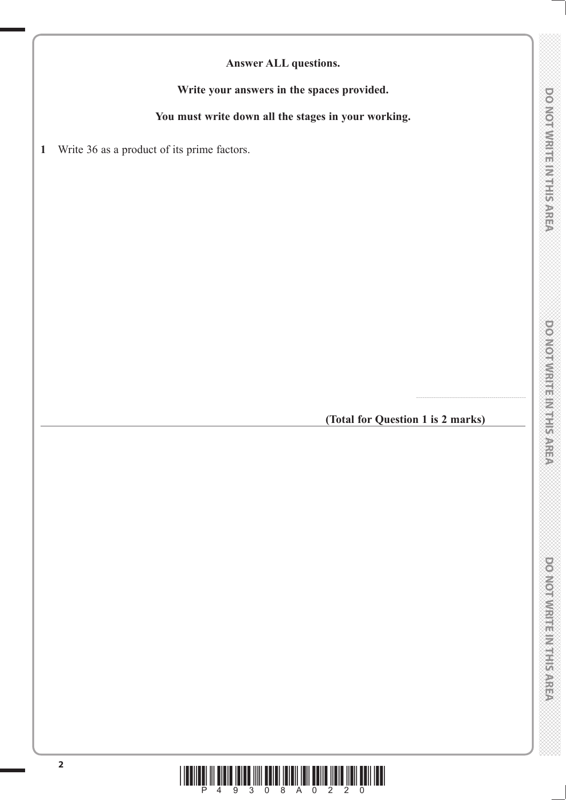**Answer ALL questions.**

**Write your answers in the spaces provided.**

**You must write down all the stages in your working.**

**1** Write 36 as a product of its prime factors.

### **(Total for Question 1 is 2 marks)**

.......................................................

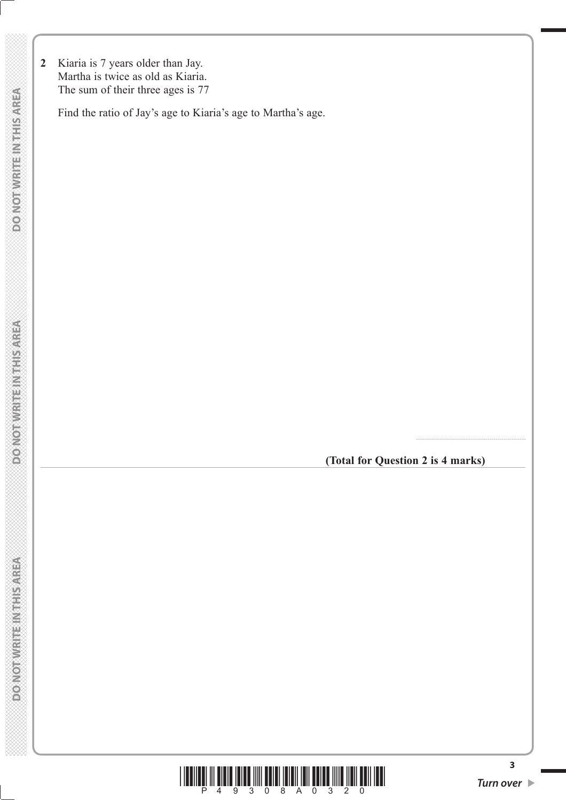**2** Kiaria is 7 years older than Jay. Martha is twice as old as Kiaria. The sum of their three ages is 77

Find the ratio of Jay's age to Kiaria's age to Martha's age.

**(Total for Question 2 is 4 marks)**

.......................................................



**3**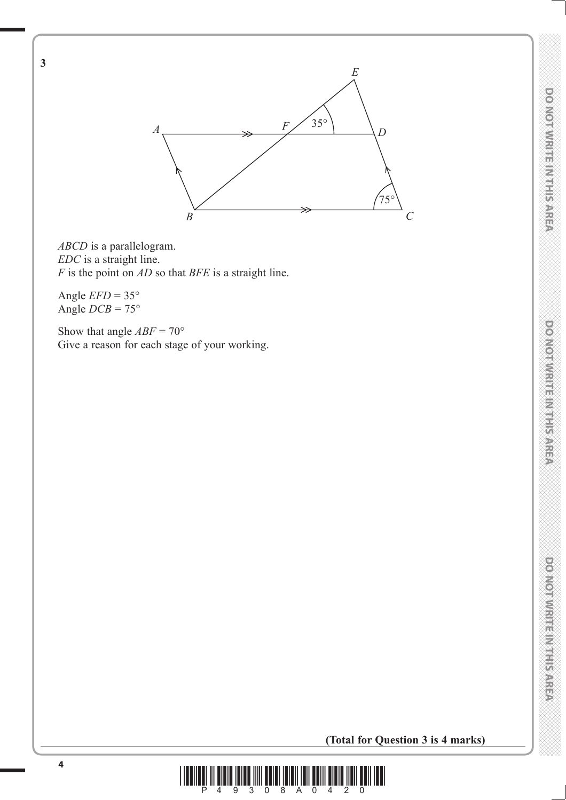

*ABCD* is a parallelogram. *EDC* is a straight line. *F* is the point on *AD* so that *BFE* is a straight line.

Angle  $EFD = 35^\circ$ Angle  $DCB = 75^\circ$ 

**3**

Show that angle  $ABF = 70^{\circ}$ Give a reason for each stage of your working.



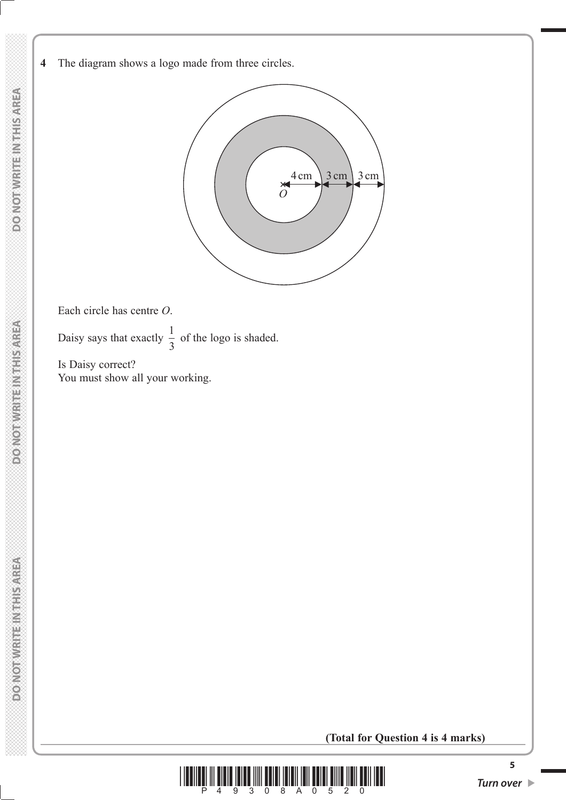

Each circle has centre *O*.

Daisy says that exactly  $\frac{1}{2}$ 3 of the logo is shaded.

 Is Daisy correct? You must show all your working.

**(Total for Question 4 is 4 marks)**

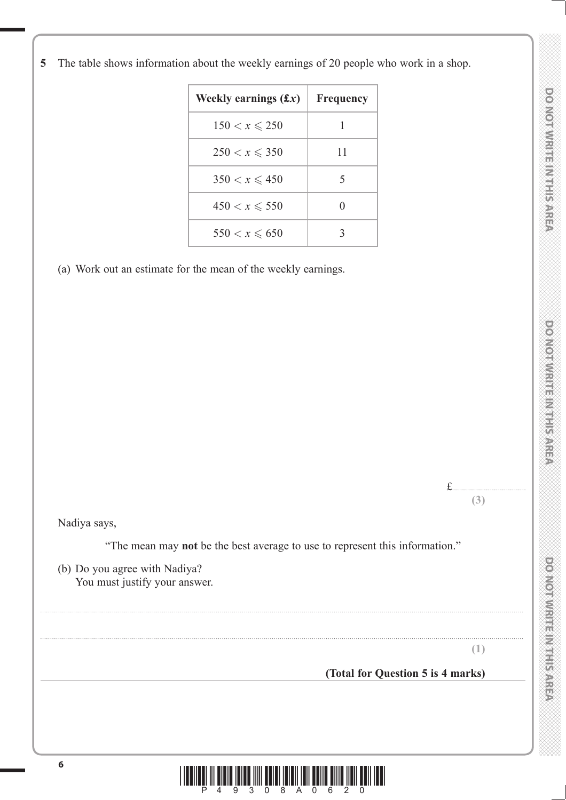**Weekly earnings**  $(f x)$  Frequency  $150 < x \le 250$  $250 < x \le 350$  $350 < x \leq 450$  $450 < x \le 550$  $550 < x \le 650$ 

**5** The table shows information about the weekly earnings of 20 people who work in a shop.

(a) Work out an estimate for the mean of the weekly earnings.



**(1)**

# **(Total for Question 5 is 4 marks)**



..................................................................................................................................................................................................................................................

..................................................................................................................................................................................................................................................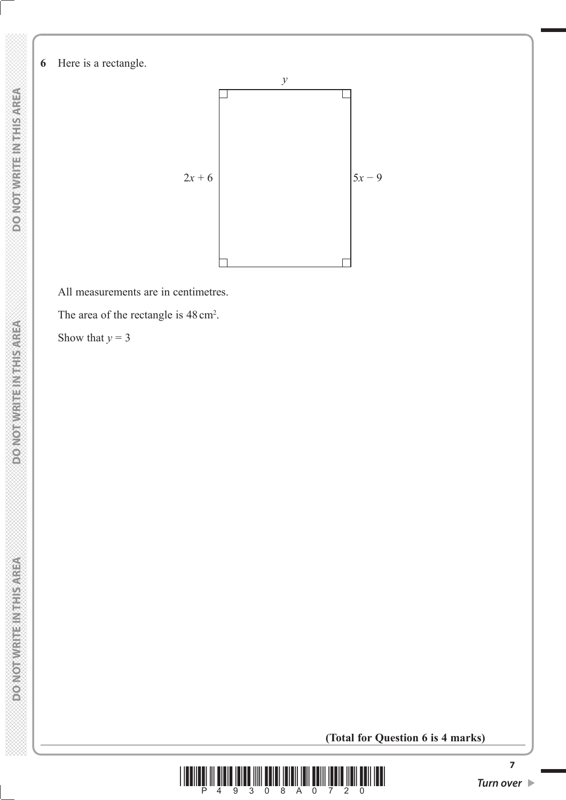**6** Here is a rectangle.



All measurements are in centimetres.

The area of the rectangle is  $48 \text{ cm}^2$ .

Show that  $y = 3$ 

**(Total for Question 6 is 4 marks)**



**DO NOT WRITE IN THIS AREA**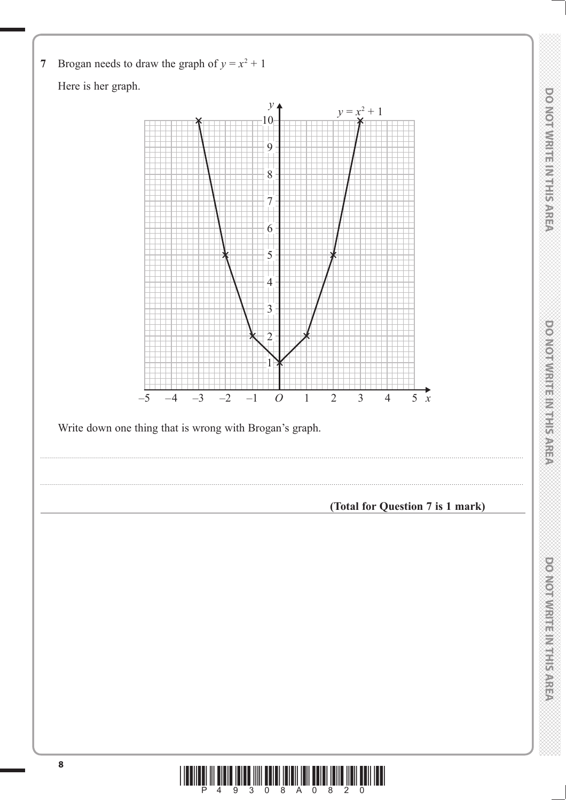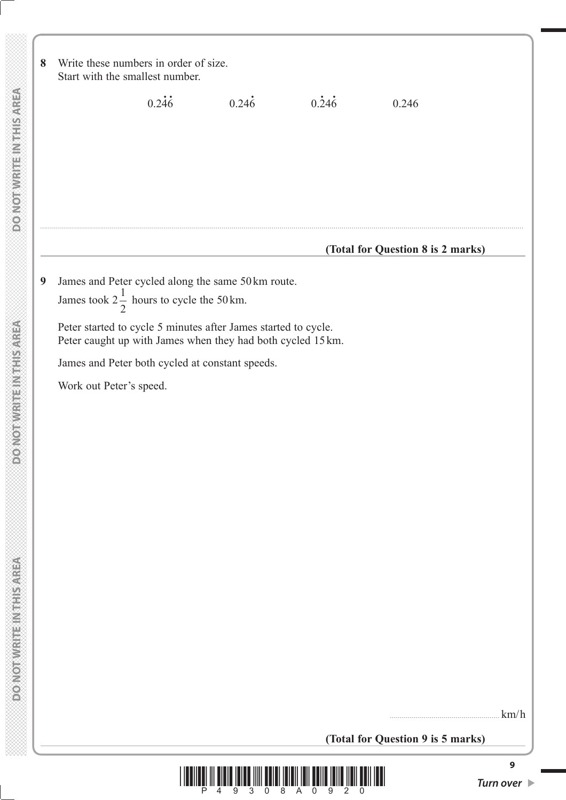| 8                |                         | Write these numbers in order of size.<br>Start with the smallest number. |                                                                                                                                                                                                                                       |                    |                                   |      |
|------------------|-------------------------|--------------------------------------------------------------------------|---------------------------------------------------------------------------------------------------------------------------------------------------------------------------------------------------------------------------------------|--------------------|-----------------------------------|------|
|                  |                         | 0.246                                                                    | $0.24\dot{6}$                                                                                                                                                                                                                         | $0.\overline{246}$ | 0.246                             |      |
|                  |                         |                                                                          |                                                                                                                                                                                                                                       |                    | (Total for Question 8 is 2 marks) |      |
| $\boldsymbol{9}$ | Work out Peter's speed. | James took $2\frac{1}{2}$ hours to cycle the 50 km.                      | James and Peter cycled along the same 50km route.<br>Peter started to cycle 5 minutes after James started to cycle.<br>Peter caught up with James when they had both cycled 15 km.<br>James and Peter both cycled at constant speeds. |                    |                                   |      |
|                  |                         |                                                                          |                                                                                                                                                                                                                                       |                    | (Total for Question 9 is 5 marks) | km/h |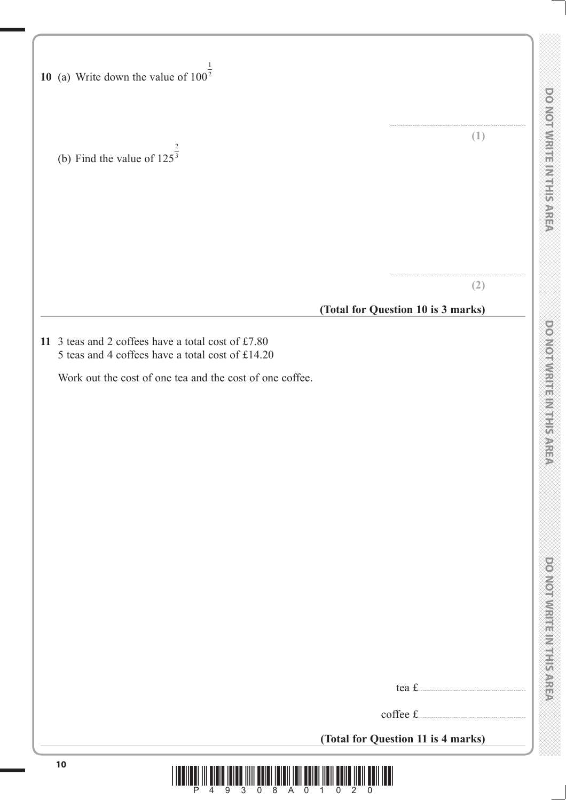| <b>COM</b>          |
|---------------------|
|                     |
|                     |
|                     |
|                     |
|                     |
|                     |
|                     |
|                     |
|                     |
|                     |
|                     |
|                     |
|                     |
|                     |
| <b>CONSTRUCTION</b> |
|                     |
|                     |
|                     |
|                     |
|                     |
| ś                   |
|                     |
|                     |
|                     |
|                     |
|                     |
|                     |
|                     |
|                     |
|                     |
|                     |
|                     |
|                     |
|                     |
|                     |
|                     |
|                     |
|                     |
|                     |
|                     |
|                     |
|                     |
|                     |
|                     |
|                     |
|                     |
|                     |
| $\frac{1}{2}$       |
|                     |
|                     |
|                     |
|                     |
|                     |
|                     |
|                     |
| ń                   |
|                     |
|                     |
| a<br>R              |
|                     |
|                     |
|                     |
|                     |
|                     |
|                     |
|                     |
|                     |
|                     |
|                     |
|                     |
|                     |
|                     |
|                     |
|                     |
|                     |
|                     |
| i<br>V              |
|                     |
| ś                   |
|                     |
| Ì<br>ř<br>í         |
|                     |
| Î.                  |
| Ě                   |
| Ĥ                   |
|                     |
|                     |
|                     |
| ť                   |
|                     |
| ě                   |
| ĝ                   |
|                     |
| È                   |
|                     |
| ņ,<br>Ř             |

| 10 (a) Write down the value of $100^{\frac{1}{2}}$                                                     |                                                |
|--------------------------------------------------------------------------------------------------------|------------------------------------------------|
| (b) Find the value of $125^{\frac{2}{3}}$                                                              | (1)                                            |
|                                                                                                        | (2)<br>(Total for Question 10 is 3 marks)      |
| 11 3 teas and 2 coffees have a total cost of £7.80<br>5 teas and 4 coffees have a total cost of £14.20 |                                                |
| Work out the cost of one tea and the cost of one coffee.                                               |                                                |
|                                                                                                        |                                                |
|                                                                                                        |                                                |
|                                                                                                        |                                                |
|                                                                                                        |                                                |
|                                                                                                        |                                                |
|                                                                                                        | coffee £<br>(Total for Question 11 is 4 marks) |
| 10<br>$\overline{0}$<br>8 A<br>P.<br>3<br>$\Omega$                                                     | 1.                                             |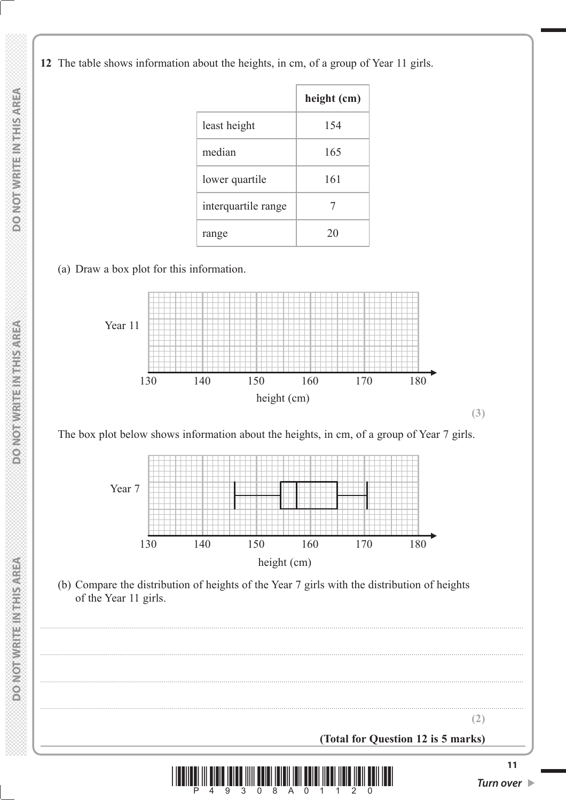**12** The table shows information about the heights, in cm, of a group of Year 11 girls.

|                     | height (cm) |
|---------------------|-------------|
| least height        | 154         |
| median              | 165         |
| lower quartile      | 161         |
| interquartile range | 7           |
| range               | 20          |

(a) Draw a box plot for this information.



The box plot below shows information about the heights, in cm, of a group of Year 7 girls.



**(3)**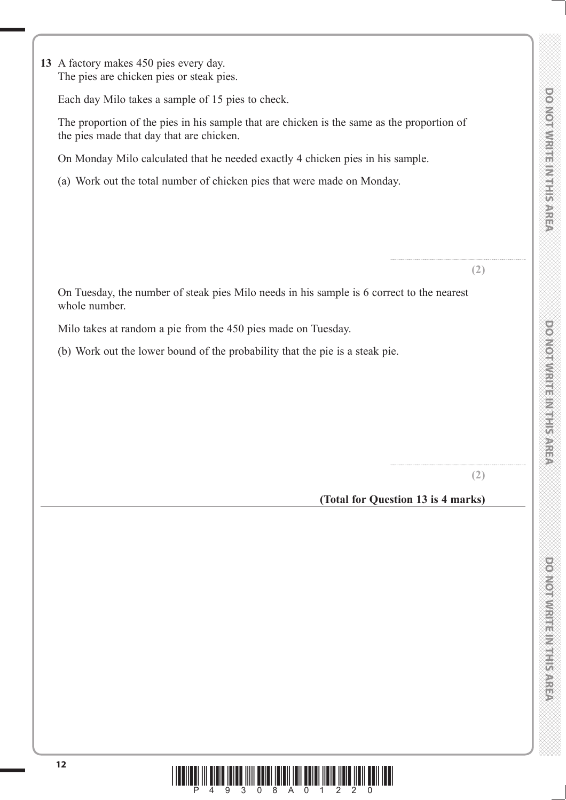**13** A factory makes 450 pies every day. The pies are chicken pies or steak pies.

whole number.

Each day Milo takes a sample of 15 pies to check.

 The proportion of the pies in his sample that are chicken is the same as the proportion of the pies made that day that are chicken.

On Tuesday, the number of steak pies Milo needs in his sample is 6 correct to the nearest

On Monday Milo calculated that he needed exactly 4 chicken pies in his sample.

(a) Work out the total number of chicken pies that were made on Monday.

....................................................................

**(2)**

Milo takes at random a pie from the 450 pies made on Tuesday.

(b) Work out the lower bound of the probability that the pie is a steak pie.

**(2)**

....................................................................

**(Total for Question 13 is 4 marks)**



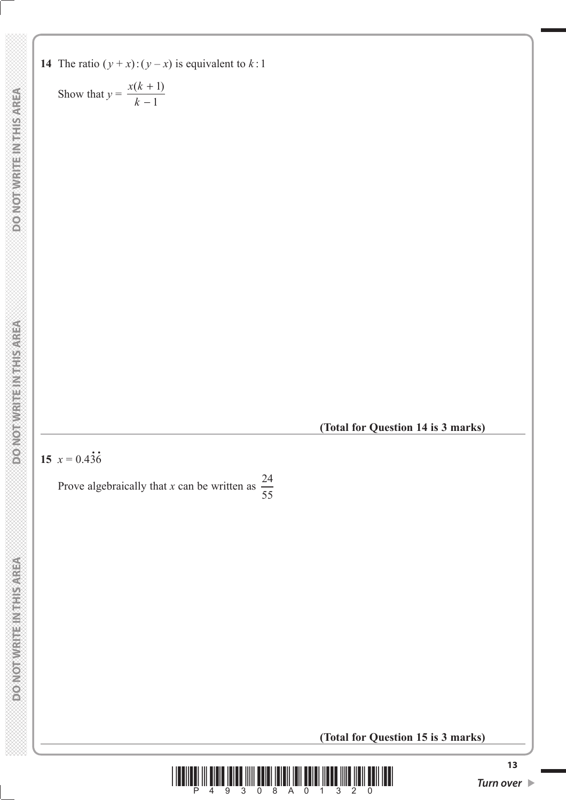**14** The ratio  $(y + x)$ :  $(y - x)$  is equivalent to  $k:1$ 

Show that 
$$
y = \frac{x(k+1)}{k-1}
$$

**(Total for Question 14 is 3 marks)**

#### **15**  $x = 0.43\dot{6}$ **.**

Prove algebraically that *x* can be written as  $\frac{24}{55}$ 55

**(Total for Question 15 is 3 marks)**

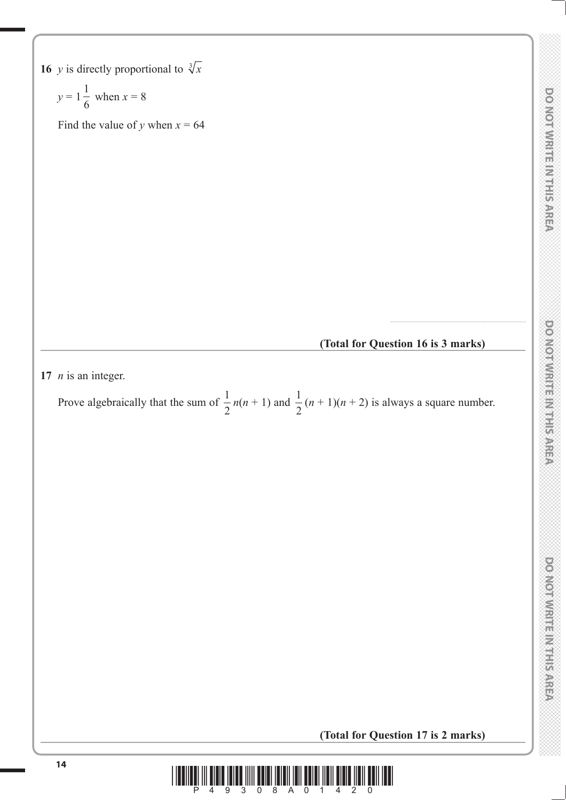**16** *y* is directly proportional to  $\sqrt[3]{x}$ 

$$
y = 1\frac{1}{6} \text{ when } x = 8
$$

Find the value of *y* when  $x = 64$ 

**(Total for Question 16 is 3 marks)**

....................................................................

**17** *n* is an integer.

Prove algebraically that the sum of  $\frac{1}{2}$ 2  $n(n + 1)$  and  $\frac{1}{2}$  $\frac{1}{2}(n+1)(n+2)$  is always a square number.

**(Total for Question 17 is 2 marks)**

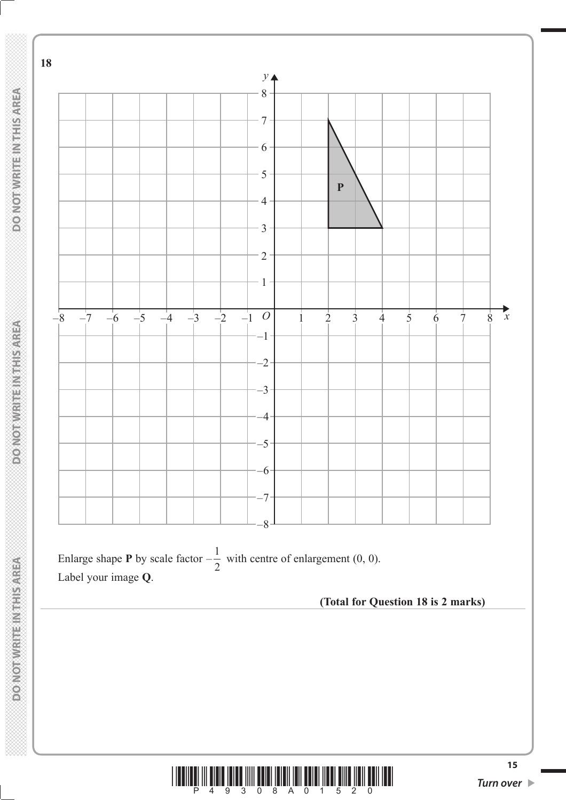

**DO NOT WRITE IN THIS AREA** 

**DOMORWIGHT MENTISMEN** 

 **DO NOT WRITE IN THIS AREA DO NOT WRITE A DO NOT WRITE IN THIS AREA DO NOT WRITE A DO NOT WRITE INTHIS AREA** 

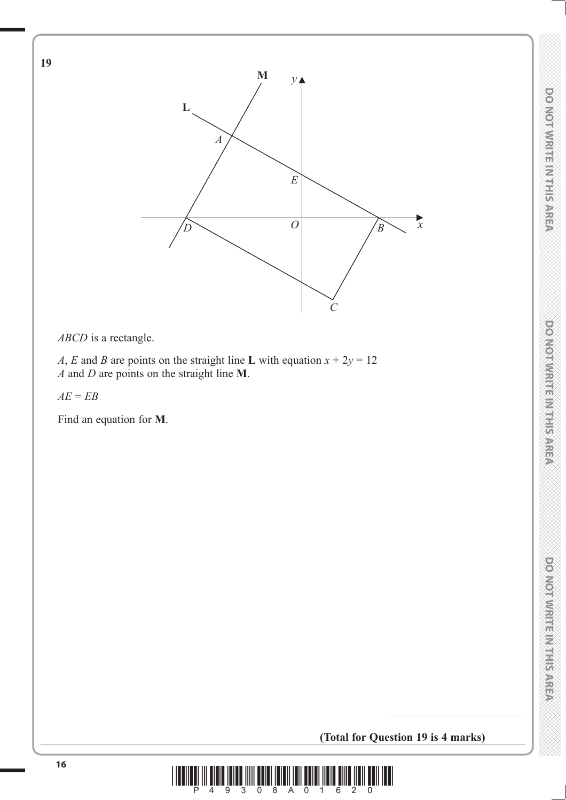DO NOTWRITE IN THIS AREA



*ABCD* is a rectangle.

*A*, *E* and *B* are points on the straight line **L** with equation  $x + 2y = 12$ *A* and *D* are points on the straight line **M**.

*AE* = *EB*

**19**

Find an equation for **M**.

**(Total for Question 19 is 4 marks)**

....................................................................

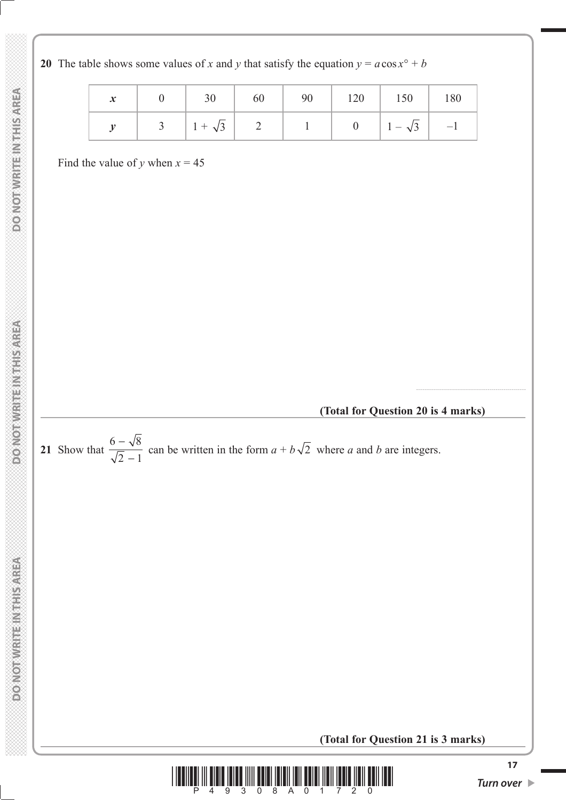|  |  |  | $y \mid 3 \mid 1+\sqrt{3} \mid 2 \mid 1 \mid 0 \mid 1-\sqrt{3} \mid -1$ |  |
|--|--|--|-------------------------------------------------------------------------|--|

**20** The table shows some values of *x* and *y* that satisfy the equation  $y = a \cos x^{\circ} + b$ 

Find the value of *y* when  $x = 45$ 

### **(Total for Question 20 is 4 marks)**

.......................................................



**(Total for Question 21 is 3 marks)**

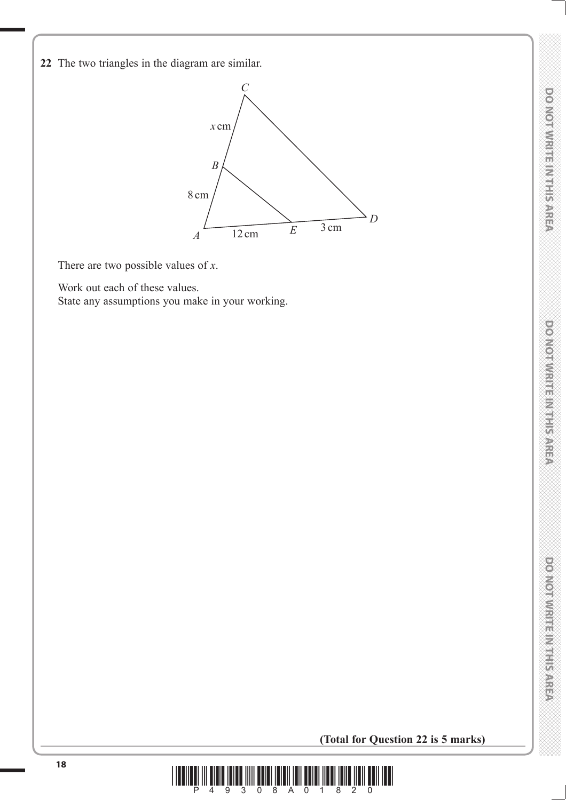**DOMOTIVIRITE INTERNATION** 

ponorwrute material

**22** The two triangles in the diagram are similar.



There are two possible values of *x*.

Work out each of these values.

State any assumptions you make in your working.

**(Total for Question 22 is 5 marks)**

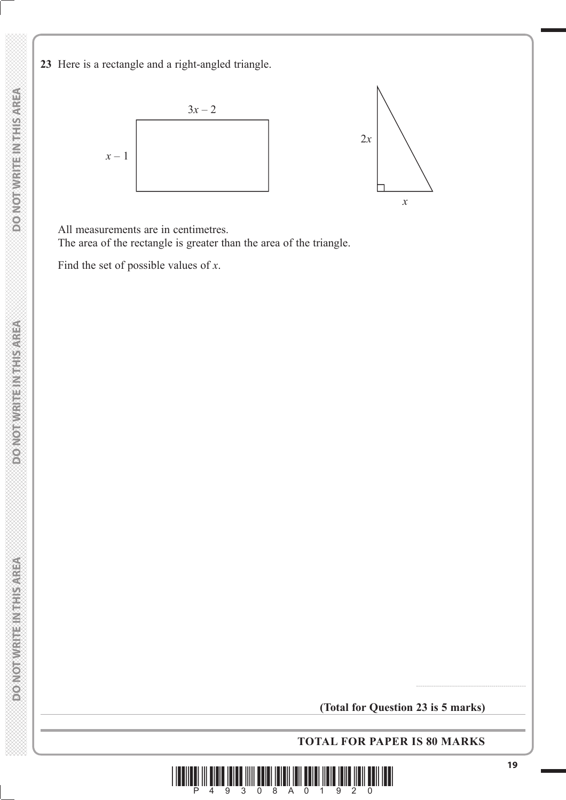**23** Here is a rectangle and a right-angled triangle.



All measurements are in centimetres.

The area of the rectangle is greater than the area of the triangle.

Find the set of possible values of *x*.

**TOTAL FOR PAPER IS 80 MARKS**



.......................................................